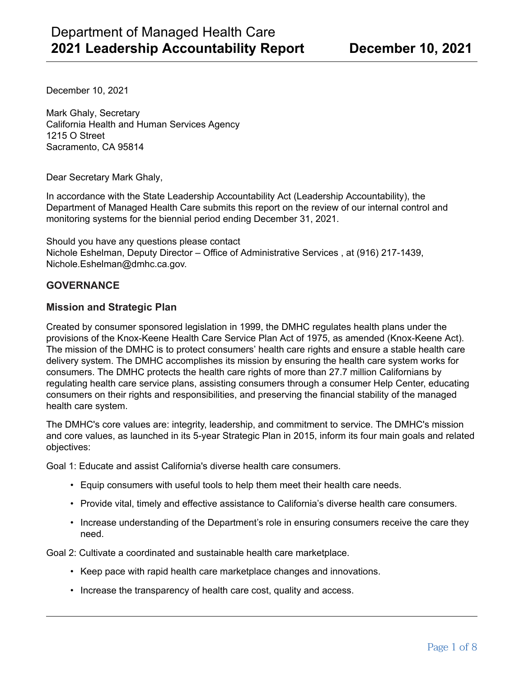December 10, 2021

Mark Ghaly, Secretary California Health and Human Services Agency 1215 O Street Sacramento, CA 95814

Dear Secretary Mark Ghaly,

In accordance with the State Leadership Accountability Act (Leadership Accountability), the Department of Managed Health Care submits this report on the review of our internal control and monitoring systems for the biennial period ending December 31, 2021.

Should you have any questions please contact Nichole Eshelman, Deputy Director – Office of Administrative Services , at (916) 217-1439, Nichole.Eshelman@dmhc.ca.gov.

### **GOVERNANCE**

#### **Mission and Strategic Plan**

Created by consumer sponsored legislation in 1999, the DMHC regulates health plans under the provisions of the Knox-Keene Health Care Service Plan Act of 1975, as amended (Knox-Keene Act). The mission of the DMHC is to protect consumers' health care rights and ensure a stable health care delivery system. The DMHC accomplishes its mission by ensuring the health care system works for consumers. The DMHC protects the health care rights of more than 27.7 million Californians by regulating health care service plans, assisting consumers through a consumer Help Center, educating consumers on their rights and responsibilities, and preserving the financial stability of the managed health care system.

The DMHC's core values are: integrity, leadership, and commitment to service. The DMHC's mission and core values, as launched in its 5-year Strategic Plan in 2015, inform its four main goals and related objectives:

Goal 1: Educate and assist California's diverse health care consumers.

- Equip consumers with useful tools to help them meet their health care needs.
- Provide vital, timely and effective assistance to California's diverse health care consumers.
- Increase understanding of the Department's role in ensuring consumers receive the care they need.

Goal 2: Cultivate a coordinated and sustainable health care marketplace.

- Keep pace with rapid health care marketplace changes and innovations.
- Increase the transparency of health care cost, quality and access.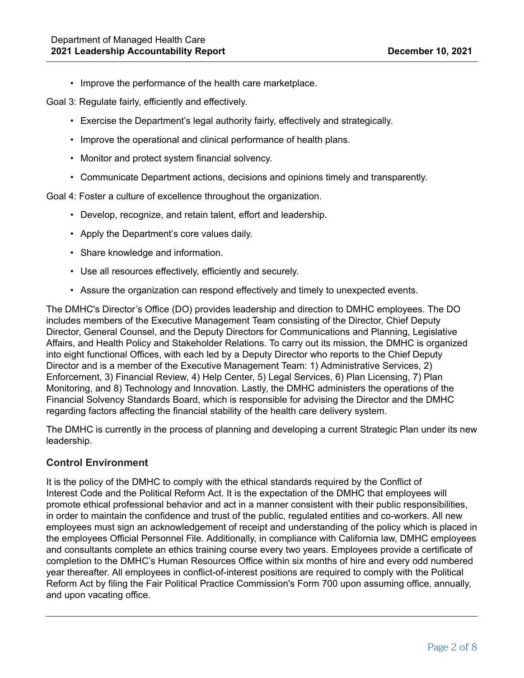• Improve the performance of the health care marketplace.

Goal 3: Regulate fairly, efficiently and effectively.

- Exercise the Department's legal authority fairly, effectively and strategically.
- Improve the operational and clinical performance of health plans.
- Monitor and protect system financial solvency.
- Communicate Department actions, decisions and opinions timely and transparently.

Goal 4: Foster a culture of excellence throughout the organization.

- Develop, recognize, and retain talent, effort and leadership.
- Apply the Department's core values daily.
- Share knowledge and information.
- Use all resources effectively, efficiently and securely.
- Assure the organization can respond effectively and timely to unexpected events.

The DMHC's Director's Office (DO) provides leadership and direction to DMHC employees. The DO includes members of the Executive Management Team consisting of the Director, Chief Deputy Director, General Counsel, and the Deputy Directors for Communications and Planning, Legislative Affairs, and Health Policy and Stakeholder Relations. To carry out its mission, the DMHC is organized into eight functional Offices, with each led by a Deputy Director who reports to the Chief Deputy Director and is a member of the Executive Management Team: 1) Administrative Services, 2) Enforcement, 3) Financial Review, 4) Help Center, 5) Legal Services, 6) Plan Licensing, 7) Plan Monitoring, and 8) Technology and Innovation. Lastly, the DMHC administers the operations of the Financial Solvency Standards Board, which is responsible for advising the Director and the DMHC regarding factors affecting the financial stability of the health care delivery system.

The DMHC is currently in the process of planning and developing a current Strategic Plan under its new leadership.

### **Control Environment**

It is the policy of the DMHC to comply with the ethical standards required by the Conflict of Interest Code and the Political Reform Act. It is the expectation of the DMHC that employees will promote ethical professional behavior and act in a manner consistent with their public responsibilities, in order to maintain the confidence and trust of the public, regulated entities and co-workers. All new employees must sign an acknowledgement of receipt and understanding of the policy which is placed in the employees Official Personnel File. Additionally, in compliance with California law, DMHC employees and consultants complete an ethics training course every two years. Employees provide a certificate of completion to the DMHC's Human Resources Office within six months of hire and every odd numbered year thereafter. All employees in conflict-of-interest positions are required to comply with the Political Reform Act by filing the Fair Political Practice Commission's Form 700 upon assuming office, annually, and upon vacating office.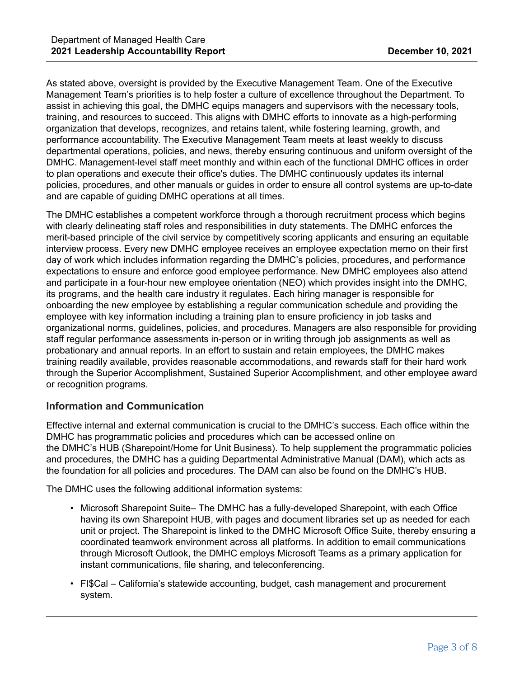As stated above, oversight is provided by the Executive Management Team. One of the Executive Management Team's priorities is to help foster a culture of excellence throughout the Department. To assist in achieving this goal, the DMHC equips managers and supervisors with the necessary tools, training, and resources to succeed. This aligns with DMHC efforts to innovate as a high-performing organization that develops, recognizes, and retains talent, while fostering learning, growth, and performance accountability. The Executive Management Team meets at least weekly to discuss departmental operations, policies, and news, thereby ensuring continuous and uniform oversight of the DMHC. Management-level staff meet monthly and within each of the functional DMHC offices in order to plan operations and execute their office's duties. The DMHC continuously updates its internal policies, procedures, and other manuals or guides in order to ensure all control systems are up-to-date and are capable of guiding DMHC operations at all times.

The DMHC establishes a competent workforce through a thorough recruitment process which begins with clearly delineating staff roles and responsibilities in duty statements. The DMHC enforces the merit-based principle of the civil service by competitively scoring applicants and ensuring an equitable interview process. Every new DMHC employee receives an employee expectation memo on their first day of work which includes information regarding the DMHC's policies, procedures, and performance expectations to ensure and enforce good employee performance. New DMHC employees also attend and participate in a four-hour new employee orientation (NEO) which provides insight into the DMHC, its programs, and the health care industry it regulates. Each hiring manager is responsible for onboarding the new employee by establishing a regular communication schedule and providing the employee with key information including a training plan to ensure proficiency in job tasks and organizational norms, guidelines, policies, and procedures. Managers are also responsible for providing staff regular performance assessments in-person or in writing through job assignments as well as probationary and annual reports. In an effort to sustain and retain employees, the DMHC makes training readily available, provides reasonable accommodations, and rewards staff for their hard work through the Superior Accomplishment, Sustained Superior Accomplishment, and other employee award or recognition programs.

## **Information and Communication**

Effective internal and external communication is crucial to the DMHC's success. Each office within the DMHC has programmatic policies and procedures which can be accessed online on the DMHC's HUB (Sharepoint/Home for Unit Business). To help supplement the programmatic policies and procedures, the DMHC has a guiding Departmental Administrative Manual (DAM), which acts as the foundation for all policies and procedures. The DAM can also be found on the DMHC's HUB.

The DMHC uses the following additional information systems:

- Microsoft Sharepoint Suite– The DMHC has a fully-developed Sharepoint, with each Office having its own Sharepoint HUB, with pages and document libraries set up as needed for each unit or project. The Sharepoint is linked to the DMHC Microsoft Office Suite, thereby ensuring a coordinated teamwork environment across all platforms. In addition to email communications through Microsoft Outlook, the DMHC employs Microsoft Teams as a primary application for instant communications, file sharing, and teleconferencing.
- FI\$Cal California's statewide accounting, budget, cash management and procurement system.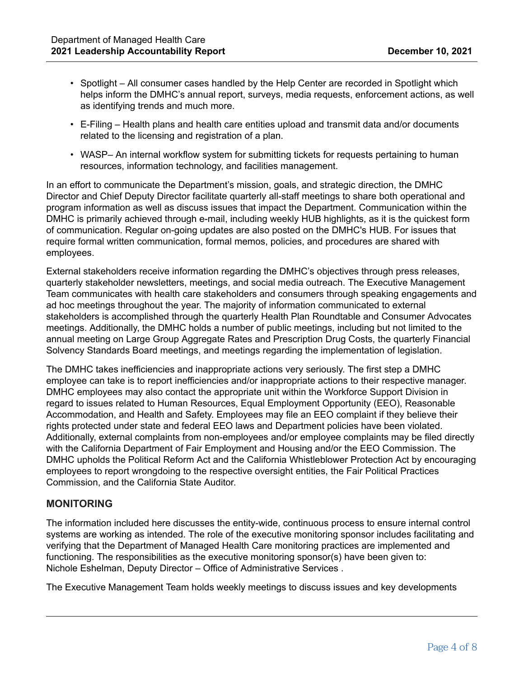- Spotlight All consumer cases handled by the Help Center are recorded in Spotlight which helps inform the DMHC's annual report, surveys, media requests, enforcement actions, as well as identifying trends and much more.
- E-Filing Health plans and health care entities upload and transmit data and/or documents related to the licensing and registration of a plan.
- WASP- An internal workflow system for submitting tickets for requests pertaining to human resources, information technology, and facilities management.

In an effort to communicate the Department's mission, goals, and strategic direction, the DMHC Director and Chief Deputy Director facilitate quarterly all-staff meetings to share both operational and program information as well as discuss issues that impact the Department. Communication within the DMHC is primarily achieved through e-mail, including weekly HUB highlights, as it is the quickest form of communication. Regular on-going updates are also posted on the DMHC's HUB. For issues that require formal written communication, formal memos, policies, and procedures are shared with employees.

External stakeholders receive information regarding the DMHC's objectives through press releases, quarterly stakeholder newsletters, meetings, and social media outreach. The Executive Management Team communicates with health care stakeholders and consumers through speaking engagements and ad hoc meetings throughout the year. The majority of information communicated to external stakeholders is accomplished through the quarterly Health Plan Roundtable and Consumer Advocates meetings. Additionally, the DMHC holds a number of public meetings, including but not limited to the annual meeting on Large Group Aggregate Rates and Prescription Drug Costs, the quarterly Financial Solvency Standards Board meetings, and meetings regarding the implementation of legislation.

The DMHC takes inefficiencies and inappropriate actions very seriously. The first step a DMHC employee can take is to report inefficiencies and/or inappropriate actions to their respective manager. DMHC employees may also contact the appropriate unit within the Workforce Support Division in regard to issues related to Human Resources, Equal Employment Opportunity (EEO), Reasonable Accommodation, and Health and Safety. Employees may file an EEO complaint if they believe their rights protected under state and federal EEO laws and Department policies have been violated. Additionally, external complaints from non-employees and/or employee complaints may be filed directly with the California Department of Fair Employment and Housing and/or the EEO Commission. The DMHC upholds the Political Reform Act and the California Whistleblower Protection Act by encouraging employees to report wrongdoing to the respective oversight entities, the Fair Political Practices Commission, and the California State Auditor.

### **MONITORING**

The information included here discusses the entity-wide, continuous process to ensure internal control systems are working as intended. The role of the executive monitoring sponsor includes facilitating and verifying that the Department of Managed Health Care monitoring practices are implemented and functioning. The responsibilities as the executive monitoring sponsor(s) have been given to: Nichole Eshelman, Deputy Director – Office of Administrative Services .

The Executive Management Team holds weekly meetings to discuss issues and key developments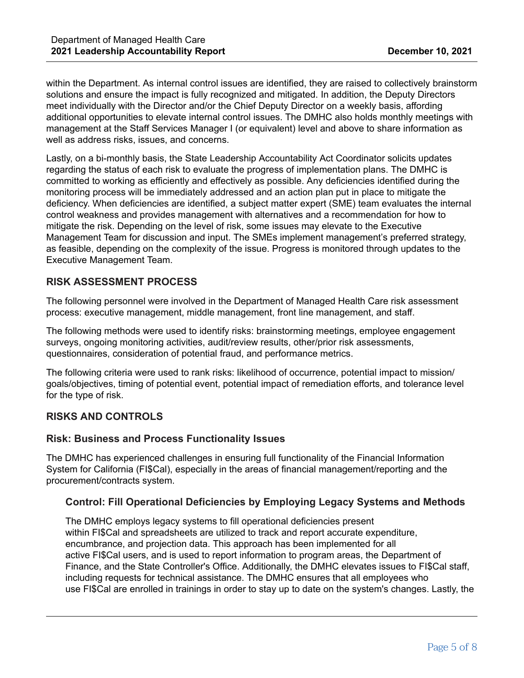within the Department. As internal control issues are identified, they are raised to collectively brainstorm solutions and ensure the impact is fully recognized and mitigated. In addition, the Deputy Directors meet individually with the Director and/or the Chief Deputy Director on a weekly basis, affording additional opportunities to elevate internal control issues. The DMHC also holds monthly meetings with management at the Staff Services Manager I (or equivalent) level and above to share information as well as address risks, issues, and concerns.

Lastly, on a bi-monthly basis, the State Leadership Accountability Act Coordinator solicits updates regarding the status of each risk to evaluate the progress of implementation plans. The DMHC is committed to working as efficiently and effectively as possible. Any deficiencies identified during the monitoring process will be immediately addressed and an action plan put in place to mitigate the deficiency. When deficiencies are identified, a subject matter expert (SME) team evaluates the internal control weakness and provides management with alternatives and a recommendation for how to mitigate the risk. Depending on the level of risk, some issues may elevate to the Executive Management Team for discussion and input. The SMEs implement management's preferred strategy, as feasible, depending on the complexity of the issue. Progress is monitored through updates to the Executive Management Team.

# **RISK ASSESSMENT PROCESS**

The following personnel were involved in the Department of Managed Health Care risk assessment process: executive management, middle management, front line management, and staff.

The following methods were used to identify risks: brainstorming meetings, employee engagement surveys, ongoing monitoring activities, audit/review results, other/prior risk assessments, questionnaires, consideration of potential fraud, and performance metrics.

The following criteria were used to rank risks: likelihood of occurrence, potential impact to mission/ goals/objectives, timing of potential event, potential impact of remediation efforts, and tolerance level for the type of risk.

## **RISKS AND CONTROLS**

### **Risk: Business and Process Functionality Issues**

The DMHC has experienced challenges in ensuring full functionality of the Financial Information System for California (FI\$Cal), especially in the areas of financial management/reporting and the procurement/contracts system.

## **Control: Fill Operational Deficiencies by Employing Legacy Systems and Methods**

The DMHC employs legacy systems to fill operational deficiencies present within FI\$Cal and spreadsheets are utilized to track and report accurate expenditure, encumbrance, and projection data. This approach has been implemented for all active FI\$Cal users, and is used to report information to program areas, the Department of Finance, and the State Controller's Office. Additionally, the DMHC elevates issues to FI\$Cal staff, including requests for technical assistance. The DMHC ensures that all employees who use FI\$Cal are enrolled in trainings in order to stay up to date on the system's changes. Lastly, the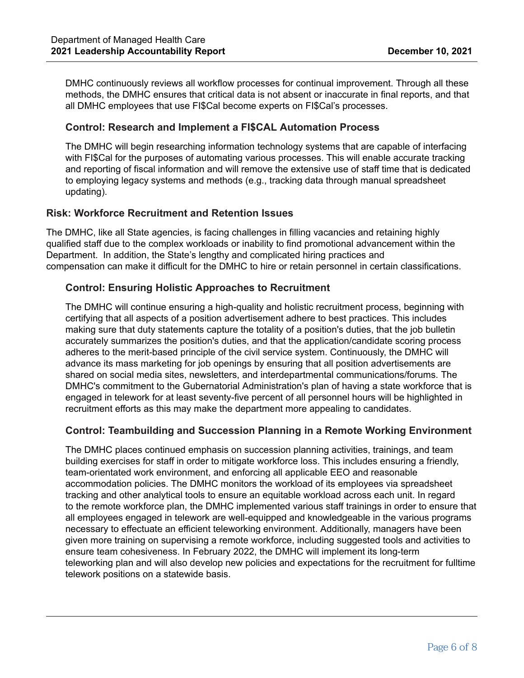DMHC continuously reviews all workflow processes for continual improvement. Through all these methods, the DMHC ensures that critical data is not absent or inaccurate in final reports, and that all DMHC employees that use FI\$Cal become experts on FI\$Cal's processes.

### **Control: Research and Implement a FI\$CAL Automation Process**

The DMHC will begin researching information technology systems that are capable of interfacing with FI\$Cal for the purposes of automating various processes. This will enable accurate tracking and reporting of fiscal information and will remove the extensive use of staff time that is dedicated to employing legacy systems and methods (e.g., tracking data through manual spreadsheet updating).

## **Risk: Workforce Recruitment and Retention Issues**

The DMHC, like all State agencies, is facing challenges in filling vacancies and retaining highly qualified staff due to the complex workloads or inability to find promotional advancement within the Department. In addition, the State's lengthy and complicated hiring practices and compensation can make it difficult for the DMHC to hire or retain personnel in certain classifications.

## **Control: Ensuring Holistic Approaches to Recruitment**

The DMHC will continue ensuring a high-quality and holistic recruitment process, beginning with certifying that all aspects of a position advertisement adhere to best practices. This includes making sure that duty statements capture the totality of a position's duties, that the job bulletin accurately summarizes the position's duties, and that the application/candidate scoring process adheres to the merit-based principle of the civil service system. Continuously, the DMHC will advance its mass marketing for job openings by ensuring that all position advertisements are shared on social media sites, newsletters, and interdepartmental communications/forums. The DMHC's commitment to the Gubernatorial Administration's plan of having a state workforce that is engaged in telework for at least seventy-five percent of all personnel hours will be highlighted in recruitment efforts as this may make the department more appealing to candidates.

## **Control: Teambuilding and Succession Planning in a Remote Working Environment**

The DMHC places continued emphasis on succession planning activities, trainings, and team building exercises for staff in order to mitigate workforce loss. This includes ensuring a friendly, team-orientated work environment, and enforcing all applicable EEO and reasonable accommodation policies. The DMHC monitors the workload of its employees via spreadsheet tracking and other analytical tools to ensure an equitable workload across each unit. In regard to the remote workforce plan, the DMHC implemented various staff trainings in order to ensure that all employees engaged in telework are well-equipped and knowledgeable in the various programs necessary to effectuate an efficient teleworking environment. Additionally, managers have been given more training on supervising a remote workforce, including suggested tools and activities to ensure team cohesiveness. In February 2022, the DMHC will implement its long-term teleworking plan and will also develop new policies and expectations for the recruitment for fulltime telework positions on a statewide basis.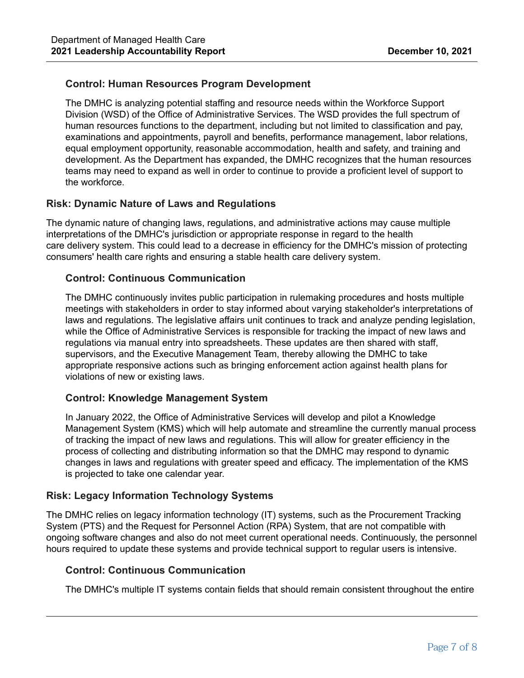## **Control: Human Resources Program Development**

The DMHC is analyzing potential staffing and resource needs within the Workforce Support Division (WSD) of the Office of Administrative Services. The WSD provides the full spectrum of human resources functions to the department, including but not limited to classification and pay, examinations and appointments, payroll and benefits, performance management, labor relations, equal employment opportunity, reasonable accommodation, health and safety, and training and development. As the Department has expanded, the DMHC recognizes that the human resources teams may need to expand as well in order to continue to provide a proficient level of support to the workforce.

## **Risk: Dynamic Nature of Laws and Regulations**

The dynamic nature of changing laws, regulations, and administrative actions may cause multiple interpretations of the DMHC's jurisdiction or appropriate response in regard to the health care delivery system. This could lead to a decrease in efficiency for the DMHC's mission of protecting consumers' health care rights and ensuring a stable health care delivery system.

### **Control: Continuous Communication**

The DMHC continuously invites public participation in rulemaking procedures and hosts multiple meetings with stakeholders in order to stay informed about varying stakeholder's interpretations of laws and regulations. The legislative affairs unit continues to track and analyze pending legislation, while the Office of Administrative Services is responsible for tracking the impact of new laws and regulations via manual entry into spreadsheets. These updates are then shared with staff, supervisors, and the Executive Management Team, thereby allowing the DMHC to take appropriate responsive actions such as bringing enforcement action against health plans for violations of new or existing laws.

### **Control: Knowledge Management System**

In January 2022, the Office of Administrative Services will develop and pilot a Knowledge Management System (KMS) which will help automate and streamline the currently manual process of tracking the impact of new laws and regulations. This will allow for greater efficiency in the process of collecting and distributing information so that the DMHC may respond to dynamic changes in laws and regulations with greater speed and efficacy. The implementation of the KMS is projected to take one calendar year.

### **Risk: Legacy Information Technology Systems**

The DMHC relies on legacy information technology (IT) systems, such as the Procurement Tracking System (PTS) and the Request for Personnel Action (RPA) System, that are not compatible with ongoing software changes and also do not meet current operational needs. Continuously, the personnel hours required to update these systems and provide technical support to regular users is intensive.

### **Control: Continuous Communication**

The DMHC's multiple IT systems contain fields that should remain consistent throughout the entire